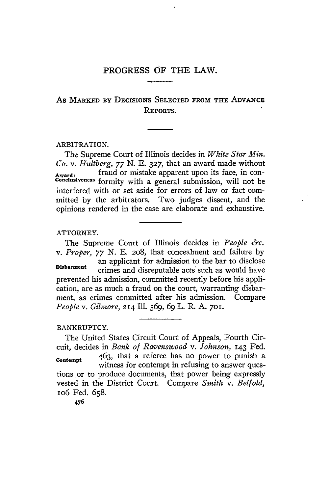# As MARKED **BY DECISIONS SELECTED** FROM **THE** ADVANCE **REPORTS.**

# ARBITRATION.

The Supreme Court of Illinois decides in *White Star Min. Co. v. Hultberg, 77* N. E. **327,** that an award made without **Award:** fraud or mistake apparent upon its face, in con-**Conclusiveness** formity with a general submission, will not be interfered with or set aside for errors of law or fact committed **by** the arbitrators. Two judges dissent, and the opinions rendered in the case are elaborate and exhaustive.

# ATTORNEY.

The Supreme Court of Illinois decides in *People &c. v. Proper, 77* N. E. 2o8, that concealment and failure by an applicant for admission to the bar to disclose **Disbarment** crimes and disreputable acts such as would have prevented his admission, committed recently before his application, are as much a fraud on the court, warranting disbarment, as crimes committed after his admission. Compare *People v. Gilmore,* **214 11.** 569, 69 L. R. **A. 701.**

# BANKRUPTCY.

The United States Circuit Court of Appeals, Fourth Circuit, decides in *Bank of Ravenswood v. Johnson.,* 143 Fed. **Contempt** 463, that a referee has no power to punish a witness for contempt in refusing to answer questions or to produce documents, that power being expressly vested in the District Court. Compare *Smith v. Belfold,* io6 Fed. 658.

**476**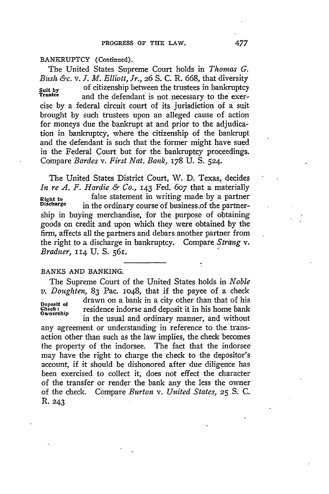BANKRUPTCY (Continued).

The United States Supreme Court holds in *Thomas G. Bush &c. v. . M. Elliott, Jr.,* 26 **S. C.** R. 668, that diversity Suit **by** of citizenship between the trustees in bankruptcy **Trustee** and the defendant is not necessary to the exercise **by** a federal circuit court of its jurisdiction of a suit brought **by** such trustees upon an alleged cause of action for moneys due the bankrupt at and prior to the adjudication in bankruptcy, where the citizenship of the bankrupt and the defendant is such that the former might have sued in the Federal Court but for the bankruptcy proceedings. Compare *Bardes v. First Nat. Bank,* 178 **U. S. 524.**

The United States District Court, W. **D.** Texas, decides *In re A. F. Hardie & Co.,* 143 Fed. 607 that a materially **Right to** false statement in writing made by a partner **Discharge** in the ordinary course of business.of the partnership in buying merchandise, for the purpose of obtaining goods on credit and upon which they were obtained **by** the *firm,* affects all the partners and debars another partner from the right to a discharge in bankruptcy. Compare *Strang v. Bradner,* 114 **U. S.** 561.

## BANKS AND BANKING.

The Supreme Court of the United States holds in *Noble v. Doughten,* 83 Pac. io48, that if the payee of a check **Deposit of** drawn on a bank in a city other than that of his<br>Check: residence indorse and deposit it in his home bank residence indorse and deposit it in his home bank in the usual and ordinary manner, and without any agreement or understanding in reference to the transaction other than such as the law implies, the check becomes the property of the indorsee. The fact that the indorsee may have the right to charge the check to the depositor's account, if it should be dishonored after due diligence has been exercised to collect it, does not effect the character of the transfer or render the bank any the less the owner of the check. Compare *Burton v. United States,* **25** *S.* **C.** R. 243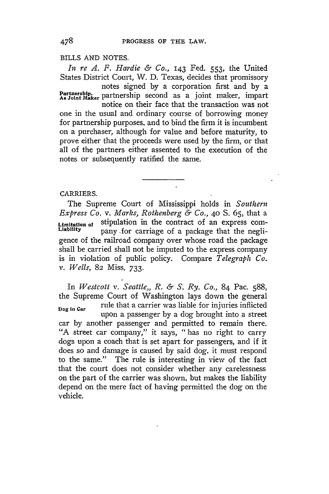# BILLS **AND NOTES.**

*In re A. F. Hardie & Co.,* 143 Fed. 553, the United States District Court, W. D. Texas, decides that promissory notes signed by a corporation first and by a Partnership.<br>As Joint Maker partnership second as a joint maker, impart notice on their face that the transaction was not one in the usual and ordinary course of borrowing money for partnership purposes, and to bind the firm it is incumbent on a purchaser, although for value and before maturity, to prove either that the proceeds were used **by** the firm, or that all of the partners either assented to the execution of the notes or subsequently ratified the same.

## CARRIERS.

The Supreme Court of Mississippi holds in Southern *Express Co. v. Marks, Rothenberg & Co.,* **40 S.** *65,* that a **Limitation of** stipulation in the contract of an express company for carriage of a package that the negligence of the railroad company over whose road the package shall be carried shall not be imputed to the express company is in violation of public policy. Compare *Telegraph Co. v. Wells,* 82 Miss. 733.

In *Westcott v. Seattle,, R. & S. Ry. Co.,* 84 Pac. 588, the Supreme Court of Washington lays down the general **Dog In Car** rule that a carrier was liable for injuries inflicted upon a passenger by a dog brought into a street car by another passenger and permitted to remain there. "A street car company," it says, "has no right to carry dogs upon a coach that is set apart for passengers, and if it does so and damage is caused by said dog, it must respond to the same." The rule is interesting in view of the fact that the court does not consider whether any carelessness on the part of the carrier was shown, but makes the liability depend on the mere fact of having permitted the dog on the vehicle.

478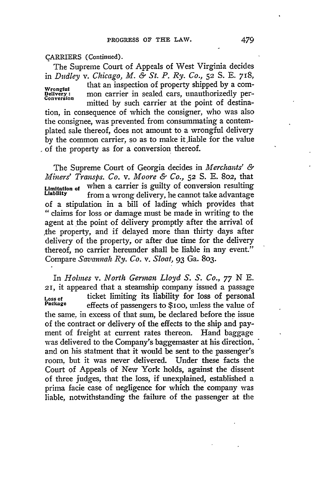## CARRIERS (Continued).

The Supreme Court of Appeals of West Virginia decides in *Dudley v. Chicago, M. & St. P. Ry. Co.,* **52** S. E. 718, Wrongful that an inspection of property shipped by a com-<br>Delivery: mon carrier in sealed cars, unauthorizedly permon carrier in sealed cars, unauthorizedly per-<br>mitted by such carrier at the point of destination, in consequence of which the consigner, who was also the consignee, was prevented from consummating a contemplated sale thereof, does not amount to a wrongful delivery by the common carrier, so as to make it liable for the value - of the property as for a conversion thereof.

The Supreme Court of Georgia decides in *Merchants' & Miners' Transps. Co. v. Moore & Co.,* **52 S. E.** 802, that **Limitation of** when a carrier is guilty of conversion resulting from a wrong delivery, he cannot take advantage of a stipulation in a bill of lading which provides that "claims for loss or damage must be made in writing to the agent at the point of delivery promptly after the arrival of ,the property, and if delayed more than thirty days after delivery of the property, or after due time for the delivery thereof, no carrier hereunder shall be liable in any event." Compare *Savannah Ry. Co. v. Sloat,* 93 Ga. 803.

In *Holmes v. North German Lloyd S. S. Co., 77 N* E. *21,* it appeared that a steamship company issued a passage **Loss of** ticket limiting its liability for loss of personal **Package** effects of passengers to \$ioo, unless the value of the same, in excess of that sum, be declared before the issue of the contract or delivery of the effects to the ship and payment of freight at current rates thereon. Hand baggage was delivered to the Company's baggemaster at his direction, and on his statment that it would be sent to the passenger's room, but it was never delivered. Under these facts the Court of Appeals of New York holds, against the dissent of three judges, that the loss, if unexplained, established a prima facie case of negligence for which the company was liable, notwithstanding the failure of the passenger at the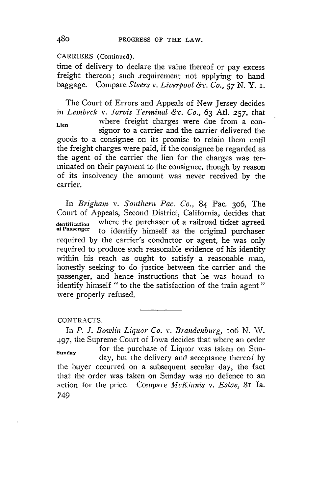### CARRIERS (Continued).

time of delivery to declare the value thereof or pay excess freight thereon; such requirement not applying to hand baggage. Compare *Steers v. Liverpool &c. Co., 57 N.* Y. *I.*

The Court of Errors and Appeals of New Jersey decides *in Lembeck v. Jarvis Terminal &c. Co.,* 63 Atl. *257,* that **Lien** where freight charges were due from a consignor to a carrier and the carrier delivered the goods to a consignee on its promise to retain them until the freight charges were paid, if the consignee be regarded as the agent of the carrier the lien for the charges was terminated on their payment to the consignee, though by reason of its insolvency the amount was never received by the carrier.

In *Brigham v. Southern Pac. Co.,* 84 Pac. 306, The Court of Appeals, Second District, California, decides that **dentification** where the purchaser of a railroad ticket agreed **of** *Passenger* to identify himself as the original purchaser required by the carrier's conductor or agent, he was only required to produce such reasonable evidence of his identity within his reach as ought to satisfy a reasonable man, honestly seeking to do justice between the carrier and the passenger, and hence instructions that he was bound to identify himself " to the the satisfaction of the train agent" were properly refused.

**CONTRACTS.**

In *P. 1. Bowlin Liquor Co. v. Brandenburg, io6* N. **W.** *497,* the Supreme Court of Iowa decides that where an order **Sunday** for the purchase of Liquor was taken on Sunday, but the delivery and acceptance thereof by the buyer occurred on a subsequent secular day, the fact that the order was taken on Sunday was no defence to an action for the price. Compare *McKinnis v. Estae,* 81 Ia. 749

480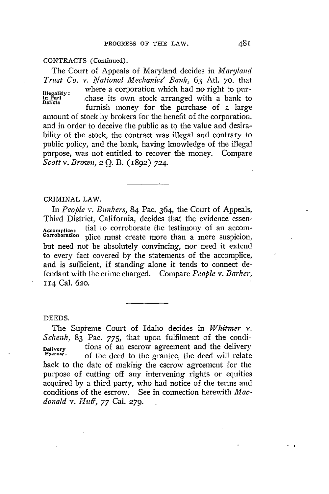CONTRACTS (Continued).

The Court of Appeals of Maryland decides in *Maryland Trust Co. v. National Mechanics' Bank,* 63 Atl. **70.** that Illegality: where a corporation which had no right to pur-<br>In Pari chase its own stock arranged with a bank to<br>Delicio furnish money for the purchase of a large amount of stock by brokers for the benefit of the corporation. and in order to deceive the public as to the value and desirability of the stock, the contract was illegal and contrary to public policy, and the bank, having knowledge of the illegal purpose, was not entitled to recover the money. Compare *Scott v. Brown, 2* Q. B. **(1892) 724.**

## CRIMINAL LAW.

In *People v. Bunkers,* 84 Pac. 364, the Court of Appeals, Third District, California, decides that the evidence essen-Accomplice: tial to corroborate the testimony of an accom-<br>Corroboration plice must create more than a mere suspicion. plice must create more than a mere suspicion, but need not be absolutely convincing, nor need it extend to every fact covered by the statements of the accomplice, and is sufficient, if standing alone it tends to connect defendant with the crime charged. Compare *People v. Barker,* **114** Cal. **62o.**

## DEEDS.

The Supreme Court of Idaho decides in *Whitmer v. Schenk,* 83 Pac. 775, that upon fulfilment of the condi-**Delivery** tions of an escrow agreement and the delivery **Escrow**. **Escrow.** of the deed to the grantee, the deed will relate back to the date of making the escrow agreement for the purpose of cutting off any intervening rights or equities acquired **by** a third party, who had notice of the terms and conditions of the escrow. See in connection herewith *Macdonald v. Huff, 77* Cal. **279.**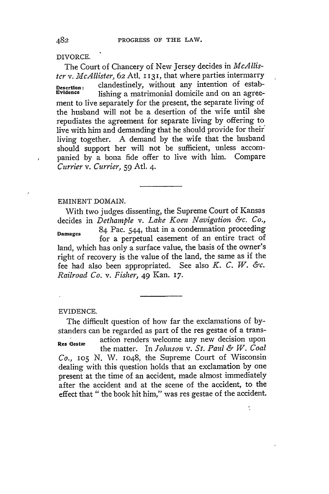DIVORCE.

The Court of Chancery of New Jersey decides in *McAllistcr v. McAllister,* 62 Atl. I **131,** that where parties intermarry **Desertion:** clandestinely, without any intention of establishing a matrimonial domicile and on an agreement to live separately for the present, the separate living of the husband will not be a desertion of the wife until she repudiates the agreement for separate living by offering to live with him and demanding that he should provide for their living together. A demand by the wife that the husband should support her will not be sufficient, unless accompanied by a bona fide offer to live with him. Compare *Currier v. Currier, 59* Atl. 4.

### EMINENT DOMAIN.

With two judges dissenting, the Supreme Court of Kansas decides in *Dethample v. Lake Koen Navigation &c. Co.,* **Damges** 84 Pac. 544, that in a condemnation proceeding for a perpetual easement of an entire tract of land, which has only a surface value, the basis of the owner's right of recovery is the value of the land, the same as if the fee had also been appropriated. See also *K. C. W. &c. Railroad Co. v. Fisher,* 49 Kan. *7.*

#### EVIDENCE.

The difficult question of how far the exclamations of bystanders can be regarded as part of the res gestae of a trans-Res Gestae action renders welcome any new decision upon the matter. In *Johnson v. St. Paul & W. Coal Co.,* io5 N. W. 1048, the Supreme Court of Wisconsin dealing with this question holds that an exclamation by one present at the time of an accident, made almost immediately after the accident and at the scene of the accident, to the effect that "the book hit him," was res gestae of the accident.

 $\hat{\cdot}$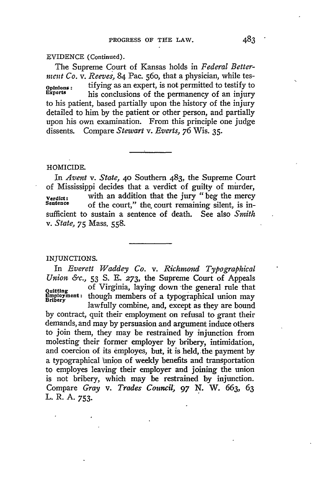### EVIDENCE (Continued).

The Supreme Court of Kansas holds in *Federal Betternient Co. v. Reeves,* 84 Pac. 560, that a physician, while tes-**Opinions:** tifying as an expert, is not permitted to testify to his conclusions of the permanency of an injury to his patient, based partially upon the history of the injury detailed to him by the patient or other person, and partially upon his own examination. From this principle one judge dissents. Compare *Stewart v. Everts, 76* Wis. **35.**

### HOMICIDE.

In *Avent v. State,* **40** Southern 483, the Supreme Court of Mississippi decides that a verdict of guilty of murder,<br>verdict: with an addition that the jury "beg the mercy Verdict: with an addition that the jury "beg the mercy Sentence of the court," the, court remaining silent, is insufficient to sustain a sentence of death. See also *Smith v. State,* 75 Mass. 558.

#### INJUNCTIONS.

In *Everett Waddey Co. v. Richmond Typographical Union &c.,* **53** S. E. *273,* the Supreme Court of Appeals quitting of Virginia, laying down the general rule that Employment: though members of a typographical union may lawfully combine, and, except as they are bound by contract, quit their employment on refusal to grant their demands, and may by persuasion and argument induce others to join them, they may be restrained by injunction from molesting their former employer by bribery, intimidation, and coercion of its employes, but, it is held, the payment by a typographical imion of weekly benefits and transportation to employes leaving their employer and joining the union is not bribery, which may be restrained **by** injunction. Compare *Gray v. Trades Council, 97* **N.** W. 663, 63 L. R. A. 753.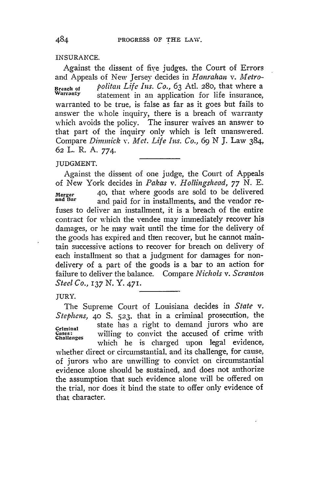### INSURANCE.

Against the dissent of five judges. the Court of Errors and Appeals of New Jersey decides in *Hanrahan v. Metro-***Breach of** *politan Life Ins. Co.,* 63 Atl. 280, that where a statement in an application for life insurance, warranted to be true, is false as far as it goes but fails to answer the whole inquiry, there is a breach of warranty which avoids the policy. The insurer waives an answer to that part of the inquiry only which is left unanswered. Compare *Dinznick v. Met. Life Ins. Co.,* 69 N J. Law 384, 62 L. R. A. 774.

# JUDGMENT.

Against the dissent of one judge, the Court of Appeals of New York decides in *Pakas v. Hollingshead, 77 N.* E. Merger 40, that where goods are sold to be delivered<br>and Bar and paid for in installments, and the vendor reand paid for in installments, and the vendor refuses to deliver an installment, it is a breach of the entire contract for which the vendee may immediately recover his damages, or he may wait until the time for the delivery of the goods has expired and then recover, but he cannot maintain successive actions to recover for breach on delivery of each installment so that a judgment for damages for nondelivery of a part of the goods is a bar to an action for failure to deliver the balance. Compare *Nichols v. Scranton Steel Co., 137* N. *Y.* 471.

JURY.

The Supreme Court of Louisiana decides in *State v. Stephens,* 40 S. 523. that in a criminal prosecution, the state has a right to demand jurors who are **Criminal** Criminal<br>Chaes: willing to convict the accused of crime with whether direct or circumstantial, and its challenge, for cause, of jurors who are unwilling to convict on circumstantial evidence alone should be sustained, and does not authorize the assumption that such evidence alone will be offered on the trial, nor does it bind the state to offer only evidence of that character.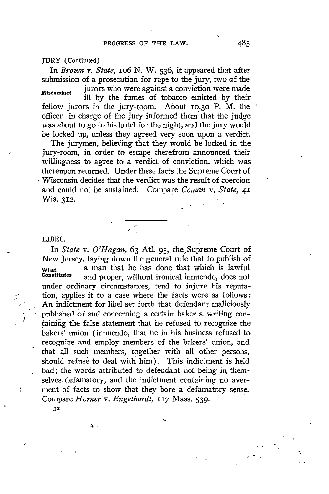JURY (Continued).

In *Brown v. State, io6* N. W. 536, it appeared that after submission of a prosecution for rape to the jury, two of the **Misconduct jurors** who were against a conviction were made ill by the fumes of tobacco emitted by their fellow jurors in the jury-room. About **10.30** P. M. the officer in charge of the jury informed them that the judge was about to go to his hotel for the night, and the jury would be locked up, unless they agreed very soon upon a verdict.

The jurymen, believing that they would be locked in the jury-room, in order to escape therefrom announced their willingness to agree to a verdict of conviction, which was thereupon returned. Under these facts the Supreme Court of Wisconsin decides that the verdict was the result of coercion and could not be sustained. Compare *Cornan v. State,* 41 Wis. 312.

#### LIBEL.

In *State v. O'Hagan, 63* Atl. *95,* the, Supreme Court of New Jersey, laying down the general rule that to publish of **What** a man that he has done that which is lawful and proper, without ironical innuendo, does not under ordinary circumstances, tend to injure his reputation, applies it to a case where the facts were as follows: An indictment for libel set forth that defendant maliciously published of and concerning a certain baker a writing containing the false statement that he refused to recognize the bakers' union (innuendo, that he in his business refused to recognize and employ members of the bakers' union, and that all such members, together with all other persons, should refuse to deal with him). This indictment is held bad; the words attributed to defendant not being in themselves, defamatory, and the indictment containing no averment of facts to show that they bore a defamatory sense. Compare *Homer v. Engelhardt,* **117** Mass. 539.

**32**

 $\overset{\prime}{\cdot}$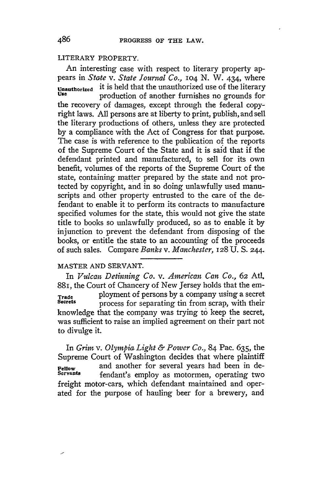# LITERARY PROPERTY.

An interesting case with respect to literary property appears in *State v. State Journal Co.,* lO4 N. W. 434, where **Unauthorized** it is held that the unauthorized use of the literary **Use** production of another furnishes no grounds for the recovery of damages, except through the federal copyright laws. All persons are at liberty to print, publish, and sell the literary productions of others, unless they are protected by a compliance with the Act of Congress for that purpose. The case is with reference to the publication of the reports of the Supreme Court of the State and it is said that if the defendant printed and manufactured, to sell for its own benefit, volumes of the reports of the Supreme Court of the state, containing matter prepared by the state and not protected by copyright, and in so doing unlawfully used manuscripts and other property entrusted to the care of the defendant to enable it to perform its contracts to manufacture specified volumes for the state, this would not give the state title to books so unlawfully produced, so as to enable it by injunction to prevent the defendant from disposing of the books, or entitle the state to an accounting of the proceeds of such sales. Compare *Banks v. Manchester,* **128** U. S. 244.

# MASTER **AND SERVANT.**

In *Vulcan Detinning Co. v. American Can Co., 62* At, 881, the Court of Chancery of New Jersey holds that the em-**Trade** ployment of persons by a company using a secret process for separating tin from scrap, with their knowledge that the company was trying to keep the secret, was sufficient to raise an implied agreement on their part not to divulge it.

In *Grim v. Olympia Light & Power Co.,* 84 Pac. 635, the Supreme Court of Washington decides that where plaintiff **Pellow** and another for several years had been in de-<br>**Servants** *pendant's employ as motormen operating two* fendant's employ as motormen, operating two freight motor-cars, which defendant maintained and operated for the purpose of hauling beer for a brewery, and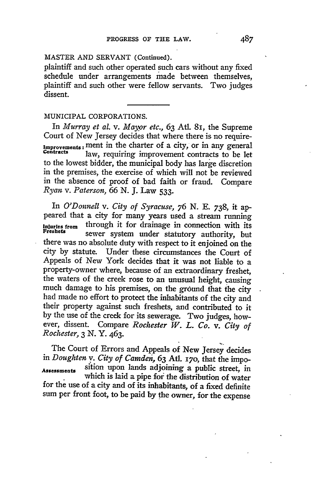# MASTER AND SERVANT (Continued).

plaintiff and such other operated such cars without any fixed schedule under arrangements made between themselves, plaintiff and such other were fellow servants. Two judges dissent.

## MUNICIPAL CORPORATIONS.

In *Murray et al. v. Mayor etc.,* 63 Atl. 81, the Supreme Court of New Jersey decides that where there is no require-Improvements: ment in the charter of a city, or in any general **Contracts** law, requiring improvement contracts to be let to the lowest bidder, the municipal body has large discretion in the premises, the exercise of which will not be reviewed in the absence of proof of bad faith or fraud. Compare *Ryan v. Paterson,* 66 **N. J.** Law **533.**

In *O'Donnell v. City of Syracuse, 76* N. E. 738, it appeared that a city for many years used a stream running **Injuries from** through it for drainage in connection with its sewer system under statutory authority, but there was no absolute duty with respect to it enjoined on the city **by** statute. Under these circumstances the Court of Appeals of New York decides that it was not liable to a property-owner where, because of an extraordinary freshet, the waters of the creek rose to an unusual height, causing much damage to his premises, on the ground that the city had made no effort to protect the inhabitants of the city and their property against such freshets, and contributed to it **by** the use of the creek for its sewerage. Two judges, however, dissent. Compare *Rochester W. L. Co. v. City of Rochester,* 3 N. Y. 463.

The Court of Errors and Appeals of New Jersey decides in *Doughten v. City of Camden*, 63 Atl. 170, that the impo-**Asgessmeuts** sition upon lands adjoining a public street, in which is laid a pipe for the distribution of water for the use of a city and of its inhabitants, of a fixed definite sum per front foot, to be paid by the owner, for the expense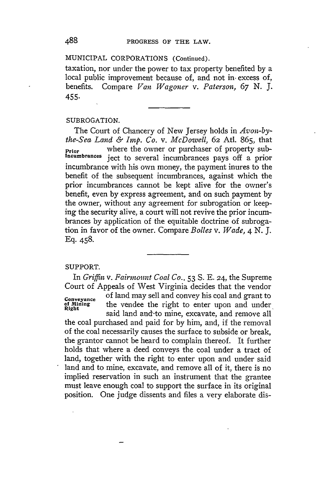# MUNICIPAL CORPORATIONS (Continued).

taxation, nor under the power to tax property benefited by a local public improvement because of, and not in- excess of, benefits. Compare *Van Wagoner v. Paterson, 67 N.* J. 455.

# SUBROGATION.

The Court of Chancery of New Jersey holds in *Avon-bythe-Sea Land & Imp. Co. v. McDowell,* 62 Atl. 865, that **Prior** where the owner or purchaser of property sub-<br> **Incumbrances** iect to several incumbrances pays off a prior ject to several incumbrances pays off a prior incumbrance with his own money, the payment inures to the benefit of the subsequent incumbrances, against which the prior incumbrances cannot be kept alive for the owner's benefit, even **by** express agreement, and on such payment **by** the owner, without any agreement for subrogation or keeping the security alive, a court will not revive the prior incumbrances **by** application of the equitable doctrine of subrogation in favor of the owner. Compare *Bolles v. Wade, 4 N.* J. **Eq.** 458.

### SUPPORT.

In *Griffin v. Fairmount Coal Co.,* **53 S. E.** 24, the Supreme Court of Appeals of West Virginia decides that the vendor **Conveyance** of land may sell and convey his coal and grant to **of Nining** the vendee the right to enter upon and under<br>Right and and and said and remove all the mine, and remove all the same of the mine, and remove all the mine, the coal purchased and paid for **by** him, and, if the removal of the coal necessarily causes the surface to subside or break, the grantor cannot be heard to complain thereof. It further holds that where a deed conveys the coal under a tract of land, together with the right to enter upon and under said land and to mine, excavate, and remove all of it, there is no implied reservation in such an instrument that the grantee must leave enough coal to support the surface in its original position. One judge dissents and files a very elaborate dis-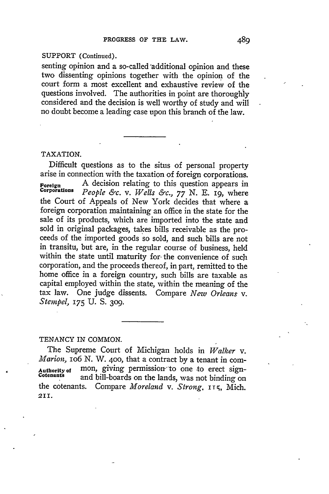## SUPPORT (Continued).

senting opinion and a so-called 'additional opinion and these two dissenting opinions together with the opinion of the court form a most excellent and exhaustive review of the questions involved. The authorities in point are thoroughly considered and the decision is well worthy of study and will no doubt become a leading case upon this branch of the law.

# TAXATION.

Difficult questions as to the situs of personal property arise in connection with the taxation of foreign corporations. **Foreign** A decision relating to this question appears in<br> **Corporations** *Peoble for Malls for an* N F 10 where **Corporations** *People &c. v. Wells &c., 77* N. **E.** 19, where the Court of Appeals of New York decides that where a foreign corporation maintaining an office in the state for the sale of its products, which are imported into the state and sold in original packages, takes bills receivable as the proceeds of the imported goods so sold, and such bills are not in transitu, but are, in the regular course of business, held within the state until maturity for. the convenience of such corporation, and the proceeds thereof, in part, remitted to the home office in a foreign country, such bills are taxable as capital employed within the state, within the meaning of the tax law. One judge dissents. Compare *New Orleans v. Stempel,* 175 **U.** S. 309.

### TENANCY IN COMMON.

The Supreme Court of Michigan holds in *Walker v. Marion, io6* **N.** W. 400, that a contract **by** a tenant in com-Authority of mon, giving permission to one to erect sign-<br>
cotenants and bill-boards on the lands, was not binding on the cotenants. Compare *Moreland v. Strong.* IT **5,** Mich. 211.